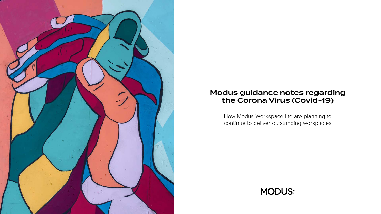How Modus Workspace Ltd are planning to continue to deliver outstanding workplaces



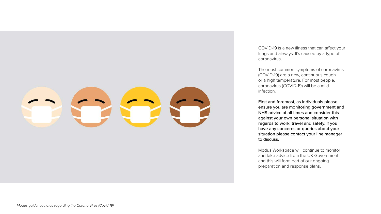COVID-19 is a new illness that can affect your lungs and airways. It's caused by a type of coronavirus.

The most common symptoms of coronavirus (COVID-19) are a new, continuous cough or a high temperature. For most people, coronavirus (COVID-19) will be a mild infection.

First and foremost, as individuals please ensure you are monitoring government and NHS advice at all times and consider this against your own personal situation with regards to work, travel and safety. If you have any concerns or queries about your situation please contact your line manager to discuss.

Modus Workspace will continue to monitor and take advice from the UK Government and this will form part of our ongoing preparation and response plans.



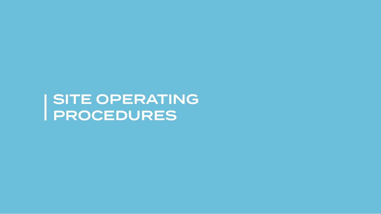SITE OPERATING PROCEDURES

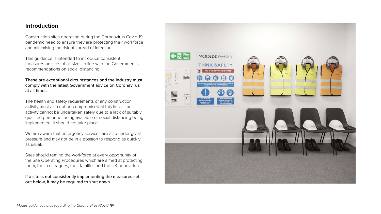## **Introduction**

Construction sites operating during the Coronavirus Covid-19 pandemic need to ensure they are protecting their workforce and minimising the risk of spread of infection.

This guidance is intended to introduce consistent measures on sites of all sizes in line with the Government's recommendations on social distancing.

#### These are exceptional circumstances and the industry must comply with the latest Government advice on Coronavirus at all times.

The health and safety requirements of any construction activity must also not be compromised at this time. If an activity cannot be undertaken safely due to a lack of suitably qualified personnel being available or social distancing being implemented, it should not take place.

We are aware that emergency services are also under great pressure and may not be in a position to respond as quickly as usual.

Sites should remind the workforce at every opportunity of the Site Operating Procedures which are aimed at protecting them, their colleagues, their families and the UK population.

#### If a site is not consistently implementing the measures set out below, it may be required to shut down.











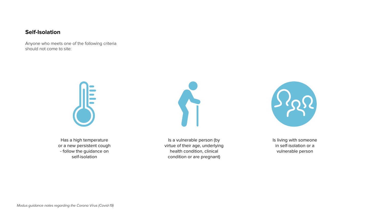#### **Self-Isolation**

Anyone who meets one of the following criteria should not come to site:



Has a high temperature or a new persistent cough - follow the guidance on self-isolation

Is a vulnerable person (by virtue of their age, underlying health condition, clinical condition or are pregnant)

Is living with someone in self-isolation or a vulnerable person



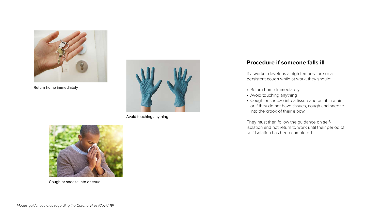### **Procedure if someone falls ill**

If a worker develops a high temperature or a persistent cough while at work, they should:

- Return home immediately
- Avoid touching anything
- Cough or sneeze into a tissue and put it in a bin, or if they do not have tissues, cough and sneeze into the crook of their elbow.

They must then follow the guidance on selfisolation and not return to work until their period of self-isolation has been completed.



Return home immediately



Cough or sneeze into a tissue

Avoid touching anything

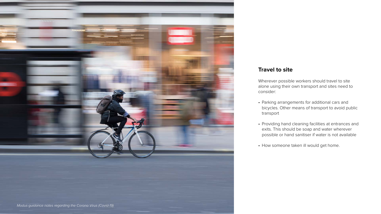### **Travel to site**

Wherever possible workers should travel to site alone using their own transport and sites need to consider:

- Parking arrangements for additional cars and bicycles. Other means of transport to avoid public transport
- Providing hand cleaning facilities at entrances and exits. This should be soap and water wherever possible or hand sanitiser if water is not available
- How someone taken ill would get home.

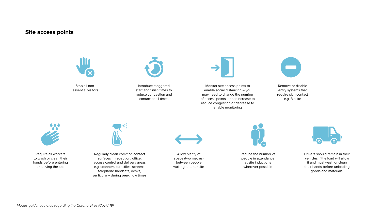#### **Site access points**



Stop all nonessential visitors



Require all workers to wash or clean their hands before entering or leaving the site



Allow plenty of space (two metres) between people waiting to enter site



Reduce the number of people in attendance at site inductions wherever possible



Drivers should remain in their vehicles if the load will allow it and must wash or clean their hands before unloading goods and materials.

Regularly clean common contact surfaces in reception, office, access control and delivery areas e.g. scanners, turnstiles, screens, telephone handsets, desks, particularly during peak flow times



Introduce staggered start and finish times to reduce congestion and contact at all times



Monitor site access points to enable social distancing – you may need to change the number of access points, either increase to reduce congestion or decrease to enable monitoring



Remove or disable entry systems that require skin contact e.g. Biosite

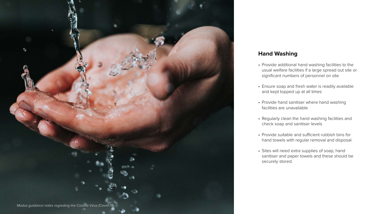## **Hand Washing**

- Provide additional hand washing facilities to the usual welfare facilities if a large spread out site or significant numbers of personnel on site
- Ensure soap and fresh water is readily available and kept topped up at all times
- Provide hand sanitiser where hand washing facilities are unavailable
- Regularly clean the hand washing facilities and check soap and sanitiser levels
- Provide suitable and sufficient rubbish bins for hand towels with regular removal and disposal.
- Sites will need extra supplies of soap, hand sanitiser and paper towels and these should be securely stored.

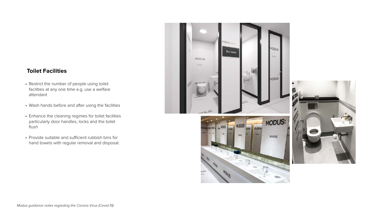### **Toilet Facilities**

- Restrict the number of people using toilet facilities at any one time e.g. use a welfare attendant
- Wash hands before and after using the facilities
- Enhance the cleaning regimes for toilet facilities particularly door handles, locks and the toilet flush
- Provide suitable and sufficient rubbish bins for hand towels with regular removal and disposal.



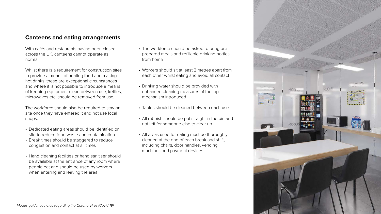#### **Canteens and eating arrangements**

With cafés and restaurants having been closed across the UK, canteens cannot operate as normal.

Whilst there is a requirement for construction sites to provide a means of heating food and making hot drinks, these are exceptional circumstances and where it is not possible to introduce a means of keeping equipment clean between use, kettles, microwaves etc. should be removed from use.

The workforce should also be required to stay on site once they have entered it and not use local shops.

- Dedicated eating areas should be identified on site to reduce food waste and contamination
- Break times should be staggered to reduce congestion and contact at all times
- Hand cleaning facilities or hand sanitiser should be available at the entrance of any room where people eat and should be used by workers when entering and leaving the area

• The workforce should be asked to bring preprepared meals and refillable drinking bottles

• Workers should sit at least 2 metres apart from each other whilst eating and avoid all contact

enhanced cleaning measures of the tap

• Tables should be cleaned between each use

- from home
- 
- Drinking water should be provided with mechanism introduced
- 
- not left for someone else to clear up
- machines and payment devices.

• All rubbish should be put straight in the bin and

• All areas used for eating must be thoroughly cleaned at the end of each break and shift, including chairs, door handles, vending

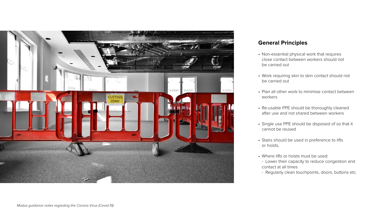## **General Principles**

- Non-essential physical work that requires close contact between workers should not be carried out
- Work requiring skin to skin contact should not be carried out
- Plan all other work to minimise contact between workers
- Re-usable PPE should be thoroughly cleaned after use and not shared between workers
- Single use PPE should be disposed of so that it cannot be reused
- Stairs should be used in preference to lifts or hoists.
- Where lifts or hoists must be used:
- Lower their capacity to reduce congestion and contact at all times
- Regularly clean touchpoints, doors, buttons etc.

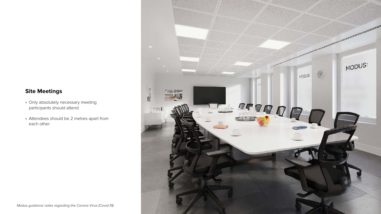## **Site Meetings**

- Only absolutely necessary meeting participants should attend
- Attendees should be 2 metres apart from each other

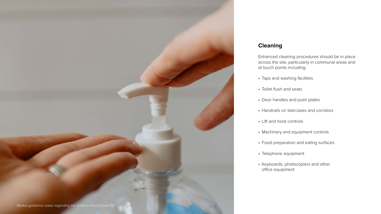## **Cleaning**

Enhanced cleaning procedures should be in place across the site, particularly in communal areas and at touch points including:

- Taps and washing facilities
- Toilet flush and seats
- Door handles and push plates
- Handrails on staircases and corridors
- Lift and hoist controls
- Machinery and equipment controls
- Food preparation and eating surfaces
- Telephone equipment
- Keyboards, photocopiers and other office equipment

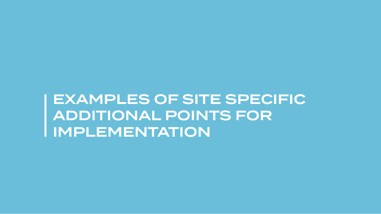EXAMPLES OF SITE SPECIFIC ADDITIONAL POINTS FOR IMPLEMENTATION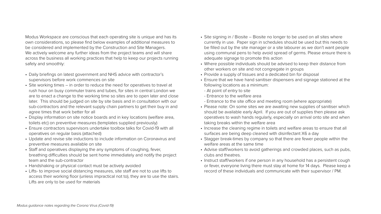Modus Workspace are conscious that each operating site is unique and has its own considerations, so please find below examples of additional measures to be considered and implemented by the Construction and Site Managers. We actively welcome any further ideas from the project teams and will share across the business all working practices that help to keep our projects running safely and smoothly:

- Daily briefings on latest government and NHS advice with contractor's supervisors before work commences on site
- Site working times in order to reduce the need for operatives to travel at rush hour on busy commuter trains and tubes, for sites in central London we are to enact a change to the working time so sites are to open later and close later. This should be judged on site by site basis and in consultation with our sub-contractors and the relevant supply chain partners to get their buy in and agree times that work better for all
- Display information on site notice boards and in key locations (welfare area, toilets etc) on preventive measures (templates supplied previously)
- Ensure contractors supervisors undertake toolbox talks for Covid-19 with all operatives on regular basis (attached)
- Update and revise site inductions to include information on Coronavirus and preventive measures available on site
- Staff and operatives displaying the any symptoms of coughing, fever, breathing difficulties should be sent home immediately and notify the project team and the sub-contractor
- Handshaking or physical contact must be actively avoided
- Lifts- to improve social distancing measures, site staff are not to use lifts to access their working floor (unless impractical not to), they are to use the stairs. Lifts are only to be used for materials
- Site signing in / Biosite Biosite no longer to be used on all sites where currently in use. Paper sign in schedules should be used but this needs to be filled out by the site manager or a site labourer as we don't want people using communal pens to help avoid spread of germs. Please ensure there is adequate signage to promote this action
- Where possible individuals should be advised to keep their distance from other workers on site and not congregate in groups
- Provide a supply of tissues and a dedicated bin for disposal
- Ensure that we have hand sanitiser dispensers and signage stationed at the following locations as a minimum:
- At point of entry to site
- Entrance to the welfare area
- Entrance to the site office and meeting room (where appropriate)
- Please note: On some sites we are awaiting new supplies of sanitiser which should be available early April. If you are out of supplies then please ask operatives to wash hands regularly, especially on arrival onto site and when taking breaks within the welfare area
- Increase the cleaning regime in toilets and welfare areas to ensure that all surfaces are being deep cleaned with disinfectant X6 a day
- Stagger break-times by company so that there are fewer people within the welfare areas at the same time
- Advise staff/workers to avoid gatherings and crowded places, such as pubs, clubs and theatres.
- Instruct staff/workers if one person in any household has a persistent cough or fever, everyone living there must stay at home for 14 days. Please keep a record of these individuals and communicate with their supervisor / PM.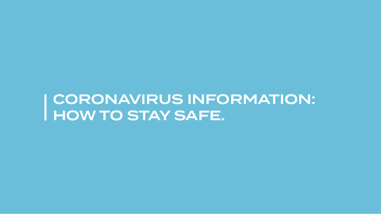CORONAVIRUS INFORMATION: HOW TO STAY SAFE.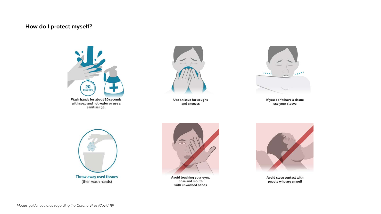#### **How do I protect myself?**



Wash hands for about 20 seconds with soap and hot water or use a<br>sanitiser gel





Throw away used tissues<br>(then wash hands)



Use a tissue for coughs and sneezes



If you don't have a tissue<br>use your sleeve

Avoid touching your eyes,<br>nose and mouth with unwashed hands



Avoid close contact with people who are unwell